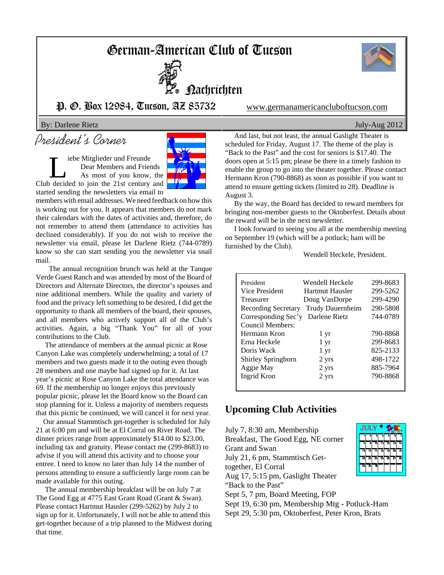# German-American Club of Tucson



Nachrichten

## P. O. Box 12984, Tucson, AZ 85732 www.germanamericancluboftucson.com

### By: Darlene Rietz July-Aug 2012

# President's Corner

iebe Mitglieder und Freunde Dear Members and Friends As most of you know, the Club decided to join the 21st century and started sending the newsletters via email to



members with email addresses. We need feedback on how this is working out for you. It appears that members do not mark their calendars with the dates of activities and, therefore, do not remember to attend them (attendance to activities has declined considerably). If you do not wish to receive the newsletter via email, please let Darlene Rietz (744-0789) know so she can start sending you the newsletter via snail mail.

The annual recognition brunch was held at the Tanque Verde Guest Ranch and was attended by most of the Board of Directors and Alternate Directors, the director's spouses and nine additional members. While the quality and variety of food and the privacy left something to be desired, I did get the opportunity to thank all members of the board, their spouses, and all members who actively support all of the Club's activities. Again, a big "Thank You" for all of your contributions to the Club.

 The attendance of members at the annual picnic at Rose Canyon Lake was completely underwhelming; a total of 17 members and two guests made it to the outing even though 28 members and one maybe had signed up for it. At last year's picnic at Rose Canyon Lake the total attendance was 69. If the membership no longer enjoys this previously popular picnic, please let the Board know so the Board can stop planning for it. Unless a majority of members requests that this picnic be continued, we will cancel it for next year.

 Our annual Stammtisch get-together is scheduled for July 21 at 6:00 pm and will be at El Corral on River Road. The dinner prices range from approximately \$14.00 to \$23.00, including tax and gratuity. Please contact me (299-8683) to advise if you will attend this activity and to choose your entree. I need to know no later than July 14 the number of persons attending to ensure a sufficiently large room can be made available for this outing.

 The annual membership breakfast will be on July 7 at The Good Egg at 4775 East Grant Road (Grant & Swan). Please contact Hartmut Hausler (299-5262) by July 2 to sign up for it. Unfortunately, I will not be able to attend this get-together because of a trip planned to the Midwest during that time.

 And last, but not least, the annual Gaslight Theater is scheduled for Friday, August 17. The theme of the play is "Back to the Past" and the cost for seniors is \$17.40. The doors open at 5:15 pm; please be there in a timely fashion to enable the group to go into the theater together. Please contact Hermann Kron (790-8868) as soon as possible if you want to attend to ensure getting tickets (limited to 28). Deadline is August 3.

 By the way, the Board has decided to reward members for bringing non-member guests to the Oktoberfest. Details about the reward will be in the next newsletter.

 I look forward to seeing you all at the membership meeting on September 19 (which will be a potluck; ham will be furnished by the Club).

Wendell Heckele, President.

| President                  | Wendell Heckele  | 299-8683 |
|----------------------------|------------------|----------|
| Vice President             | Hartmut Hausler  | 299-5262 |
| Treasurer                  | Doug VanDorpe    | 299-4290 |
| <b>Recording Secretary</b> | Trudy Dauernheim | 290-5808 |
| Corresponding Sec'y        | Darlene Rietz    | 744-0789 |
| Council Members:           |                  |          |
| Hermann Kron               | 1 yr             | 790-8868 |
| Erna Heckele               | 1 yr             | 299-8683 |
| Doris Wack                 | 1 yr             | 825-2133 |
| Shirley Springborn         | 2 yrs            | 498-1722 |
| Aggie May                  | 2 yrs            | 885-7964 |
| Ingrid Kron                | 2 yrs            | 790-8868 |
|                            |                  |          |

### **Upcoming Club Activities**

July 7, 8:30 am, Membership Breakfast, The Good Egg, NE corner Grant and Swan July 21, 6 pm, Stammtisch Gettogether, El Corral Aug 17, 5:15 pm, Gaslight Theater "Back to the Past" Sept 5, 7 pm, Board Meeting, FOP

Sept 19, 6:30 pm, Membership Mtg - Potluck-Ham Sept 29, 5:30 pm, Oktoberfest, Peter Kron, Brats



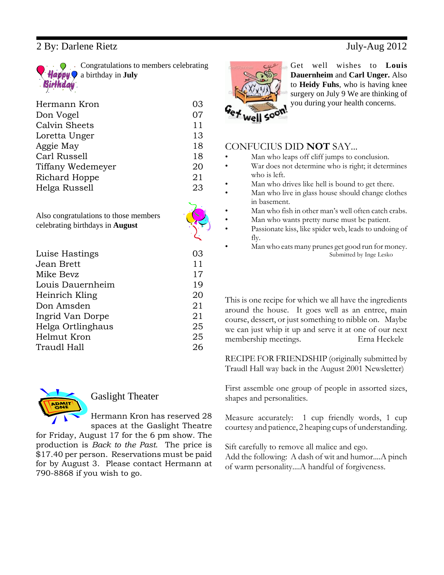## 2 By: Darlene Rietz July-Aug 2012

Congratulations to members celebrating a birthday in **July**

| Hermann Kron      | 03 |
|-------------------|----|
| Don Vogel         | 07 |
| Calvin Sheets     | 11 |
| Loretta Unger     | 13 |
| Aggie May         | 18 |
| Carl Russell      | 18 |
| Tiffany Wedemeyer | 20 |
| Richard Hoppe     | 21 |
| Helga Russell     | 23 |
|                   |    |

Also congratulations to those members celebrating birthdays in **August**

| Luise Hastings    | 03 |
|-------------------|----|
| Jean Brett        | 11 |
| Mike Bevz         | 17 |
| Louis Dauernheim  | 19 |
| Heinrich Kling    | 20 |
| Don Amsden        | 21 |
| Ingrid Van Dorpe  | 21 |
| Helga Ortlinghaus | 25 |
| Helmut Kron       | 25 |
| Traudl Hall       | 26 |
|                   |    |



# Gaslight Theater

Hermann Kron has reserved 28 spaces at the Gaslight Theatre

for Friday, August 17 for the 6 pm show. The production is *Back to the Past*. The price is \$17.40 per person. Reservations must be paid for by August 3. Please contact Hermann at 790-8868 if you wish to go.

Get well wishes to **Louis Dauernheim** and **Carl Unger.** Also to **Heidy Fuhs**, who is having knee surgery on July 9 We are thinking of you during your health concerns.

### CONFUCIUS DID **NOT** SAY...

- Man who leaps off cliff jumps to conclusion.
- War does not determine who is right; it determines who is left.
- Man who drives like hell is bound to get there.
- Man who live in glass house should change clothes in basement.
- Man who fish in other man's well often catch crabs.
- Man who wants pretty nurse must be patient.
- Passionate kiss, like spider web, leads to undoing of fly.
- Man who eats many prunes get good run for money. Submitted by Inge Lesko

This is one recipe for which we all have the ingredients around the house. It goes well as an entree, main course, dessert, or just something to nibble on. Maybe we can just whip it up and serve it at one of our next membership meetings. Erna Heckele

RECIPE FOR FRIENDSHIP (originally submitted by Traudl Hall way back in the August 2001 Newsletter)

First assemble one group of people in assorted sizes, shapes and personalities.

Measure accurately: 1 cup friendly words, 1 cup courtesy and patience, 2 heaping cups of understanding.

Sift carefully to remove all malice and ego. Add the following: A dash of wit and humor....A pinch of warm personality....A handful of forgiveness.